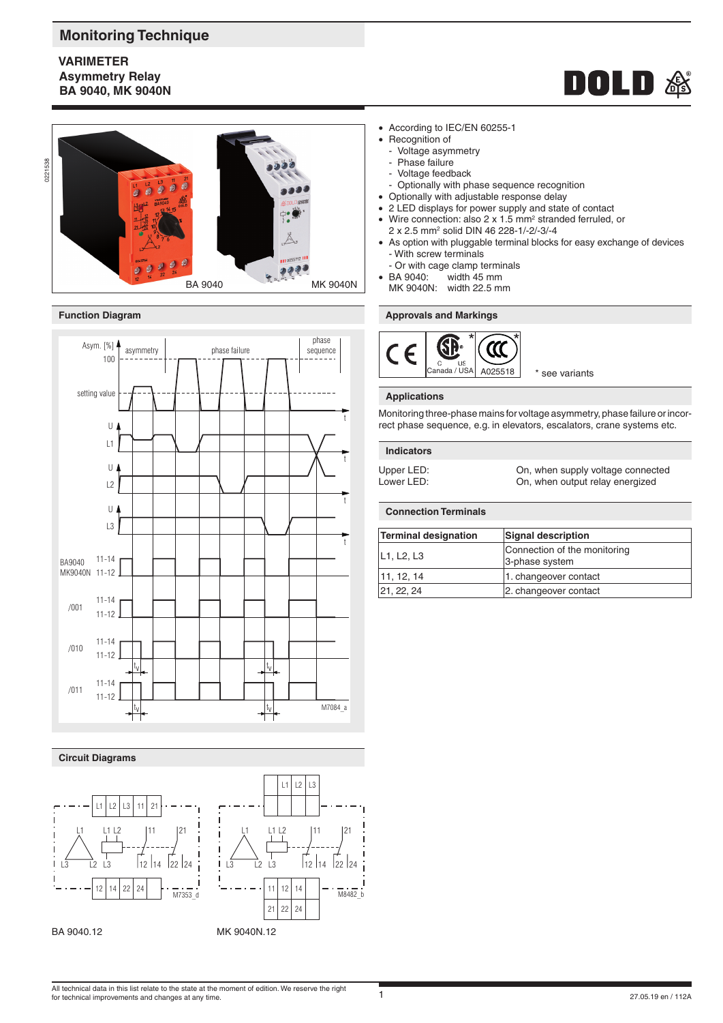# **Monitoring Technique**

# **VARIMETER Asymmetry Relay BA 9040, MK 9040N**





## **Function Diagram**



# **Circuit Diagrams**

BA 9040.12





• According to IEC/EN 60255-1

- Recognition of
	- Voltage asymmetry
	- Phase failure
	- Voltage feedback
- Optionally with phase sequence recognition
- Optionally with adjustable response delay
- 2 LED displays for power supply and state of contact
- Wire connection: also 2  $\times$  1.5 mm<sup>2</sup> stranded ferruled, or 2 x 2.5 mm2 solid DIN 46 228-1/-2/-3/-4
- As option with pluggable terminal blocks for easy exchange of devices - With screw terminals
	- Or with cage clamp terminals<br>BA 9040: width 45 mm
- width  $45 \text{ mm}$
- MK 9040N: width 22.5 mm

## **Approvals and Markings**



# **Applications**

Monitoring three-phase mains for voltage asymmetry, phase failure or incorrect phase sequence, e.g. in elevators, escalators, crane systems etc.

#### **Indicators**

Upper LED: Cn, when supply voltage connected<br>
Lower LED: Cn. when output relay energized On, when output relay energized

# **Connection Terminals**

| <b>Terminal designation</b> | <b>Signal description</b>                      |
|-----------------------------|------------------------------------------------|
| L1, L2, L3                  | Connection of the monitoring<br>3-phase system |
| 11, 12, 14                  | 1. changeover contact                          |
| 21, 22, 24                  | 2. changeover contact                          |

All technical data in this list relate to the state at the moment of edition. We reserve the right for technical improvements and changes at any time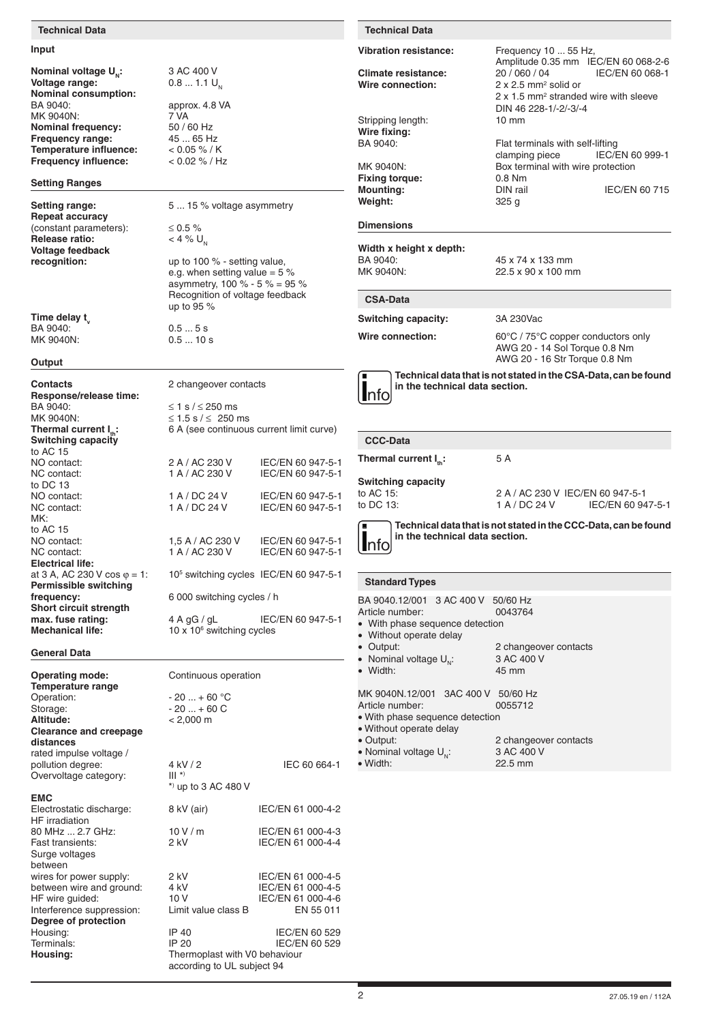#### **Technical Data**

### **Input**

**Nominal voltage**  $U_{N}$ **:**  $3 AC 400 V$ <br>**Voltage range:**  $0.8 ... 1.1 U_{N}$ **Voltage range: Nominal consumption:** BA 9040: approx. 4.8 VA<br>MK 9040N: 7 VA MK 9040N:  $7\overline{V}A$ <br> **Nominal frequency:**  $50/60$  Hz **Nominal frequency: Frequency range:** 45 ... 65 Hz<br>**Temperature influence:**  $\leq 0.05\% / K$ **Temperature influence:**  $\leq 0.05\% / K$ <br>**Frequency influence:**  $\leq 0.02\% / Hz$ **Frequency influence:** 

#### **Setting Ranges**

**Repeat accuracy** (constant parameters):  $\leq 0.5\%$ <br>
Release ratio:  $< 4\%$  U. **Release ratio: Voltage feedback**

**Time delay t<sub>v</sub>**<br>BA 9040: BA 9040:  $\begin{array}{ccc} 0.5 & . . . 5 \text{ s} \\ \text{MK } 9040 \text{N} \end{array}$ 

#### **Output**

**Contacts** 2 changeover contacts **Response/release time:** BA 9040:  $\leq 1$  s / ≤ 250 ms<br>MK 9040N:  $\leq 1.5$  s / ≤ 250 r MK 9040N:  $\leq 1.5 \text{ s/s} \leq 250 \text{ ms}$ <br>
Thermal current I<sub>n</sub>:  $\leq 6 \text{ A (see continuous)}$ **Switching capacity** to AC 15 to DC 13<br>NO contact: MK: to AC 15<br>NO contact: **Electrical life:** at 3 A, AC 230 V cos  $φ = 1$ : **Permissible switching frequency:** 6 000 switching cycles / h Short circuit strength<br>max. fuse rating: **Mechanical life:** 

## **General Data**

**Operating mode:** Continuous operation **Temperature range** Operation:  $-20 ... + 60 °C$ <br>Storage:  $-20 ... + 60 °C$ Storage:  $-20 ... + 60 \text{ C}$ <br>Altitude:  $< 2,000 \text{ m}$ **Altitude:** < 2,000 m **Clearance and creepage distances** rated impulse voltage / pollution degree:  $\frac{4 \text{ kV}}{2}$  IEC 60 664-1<br>Overvoltage category: III \*) Overvoltage category: \*) up to 3 AC 480 V **EMC** Electrostatic discharge: 8 kV (air) IEC/EN 61 000-4-2 HF irradiation 80 MHz ... 2.7 GHz: 10 V / m IEC/EN 61 000-4-3<br>
Fast transients: 2 kV IEC/EN 61 000-4-4 Surge voltages between wires for power supply:  $2 kV$  IEC/EN 61 000-4-5<br>between wire and ground:  $4 kV$  IEC/EN 61 000-4-5 between wire and ground: 4 kV IEC/EN 61 000-4-5<br>
HF wire quided: 10 V IFC/FN 61 000-4-6 HF wire guided: 10 V IEC/EN 61 000-4-6<br>Interference suppression: Limit value class B EN 55 011 Interference suppression: **Degree of protection** Housing:  $\begin{array}{ccc} \text{H} & \text{H} & \text{H} \\ \text{H} & \text{H} & \text{H} \\ \text{H} & \text{H} & \text{H} \\ \text{H} & \text{H} & \text{H} \\ \text{H} & \text{H} & \text{H} \end{array}$  Henrich (Henrich 1908) and  $\begin{array}{ccc} \text{H} & \text{H} \\ \text{H} & \text{H} \\ \text{H} & \text{H} \\ \text{H} & \text{H} \end{array}$  and  $\begin{array}{ccc} \text{H} & \text$ Terminals: IP 20 IEC/EN 60 529<br> **Housing:** Thermoplast with V0 behaviour **Housing:** Thermoplast with V0 behaviour according to UL subject 94

**Setting range:** 5 ... 15 % voltage asymmetry

**recognition:** up to 100 % - setting value, e.g. when setting value =  $5\%$ asymmetry,  $100 \% - 5 \% = 95 \%$ Recognition of voltage feedback up to 95 %

 $0.5... 10 s$ 

**6 A (see continuous current limit curve)** NO contact: 2 A / AC 230 V IEC/EN 60 947-5-1<br>NC contact: 1 A / AC 230 V IEC/EN 60 947-5-1 IEC/EN 60 947-5-1 1 A / DC 24 V IEC/EN 60 947-5-1 NC contact: 1 A / DC 24 V IEC/EN 60 947-5-1 NO contact: 1,5 A / AC 230 V IEC/EN 60 947-5-1<br>NC contact: 1 A / AC 230 V IEC/EN 60 947-5-1 IEC/EN 60 947-5-1 10<sup>5</sup> switching cycles IEC/EN 60 947-5-1 **max. fuse rating:** 4 A gG / gL IEC/EN 60 947-5-1  $10 \times 10^6$  switching cycles

**Vibration resistance:** Frequency 10 ... 55 Hz, Amplitude 0.35 mm IEC/EN 60 068-2-6<br>20 / 060 / 04 IEC/EN 60 068-1 Climate resistance: **Wire connection:** 2 x 2.5 mm<sup>2</sup> solid or 2 x 1.5 mm<sup>2</sup> stranded wire with sleeve DIN 46 228-1/-2/-3/-4 Stripping length: Wire fixing:<br>BA 9040: Flat terminals with self-lifting<br>clamping piece IEC/E clamping piece IEC/EN 60 999-1 MK 9040N:<br>
Fixing torque:<br>
0.8 Nm **Fixing torque: Mounting:** DIN rail DIN rail DIN RAIL DIEC/EN 60 715 Weight: **Dimensions Width x height x depth:** BA 9040: 45 x 74 x 133 mm<br>MK 9040N: 22.5 x 90 x 100 mm 22.5 x 90 x 100 mm **Switching capacity:** 3A 230Vac Wire connection: 60°C / 75°C copper conductors only AWG 20 - 14 Sol Torque 0.8 Nm AWG 20 - 16 Str Torque 0.8 Nm nfo **Technical data that is not stated in the CSA-Data, can be found in the technical data section. CCC-Data CSA-Data Technical Data**

> **Thermal current I<sub>n</sub>: 5 A Switching capacity**

to AC 15: 2 A / AC 230 V IEC/EN 60 947-5-1<br>to DC 13: 1 A / DC 24 V IEC/EN 60 94 IFC/FN 60 947-5-1

nfo **Technical data that is not stated in the CCC-Data, can be found in the technical data section.**

#### **Standard Types**

| BA 9040.12/001 3 AC 400 V 50/60 Hz |                       |  |  |
|------------------------------------|-----------------------|--|--|
| Article number:                    | 0043764               |  |  |
| • With phase sequence detection    |                       |  |  |
| • Without operate delay            |                       |  |  |
| • Output:                          | 2 changeover contacts |  |  |
| • Nominal voltage $U_{N}$ :        | 3 AC 400 V            |  |  |
| • Width:                           | 45 mm                 |  |  |
|                                    |                       |  |  |
| MK 9040N.12/001 3AC 400 V 50/60 Hz |                       |  |  |
| Article number:                    | 0055712               |  |  |
|                                    |                       |  |  |
| • With phase sequence detection    |                       |  |  |
| • Without operate delay            |                       |  |  |
| • Output:                          | 2 changeover contacts |  |  |
| • Nominal voltage $U_{N}$ :        | 3 AC 400 V            |  |  |
| $\bullet$ Width:                   | 22.5 mm               |  |  |

IEC/EN 61 000-4-4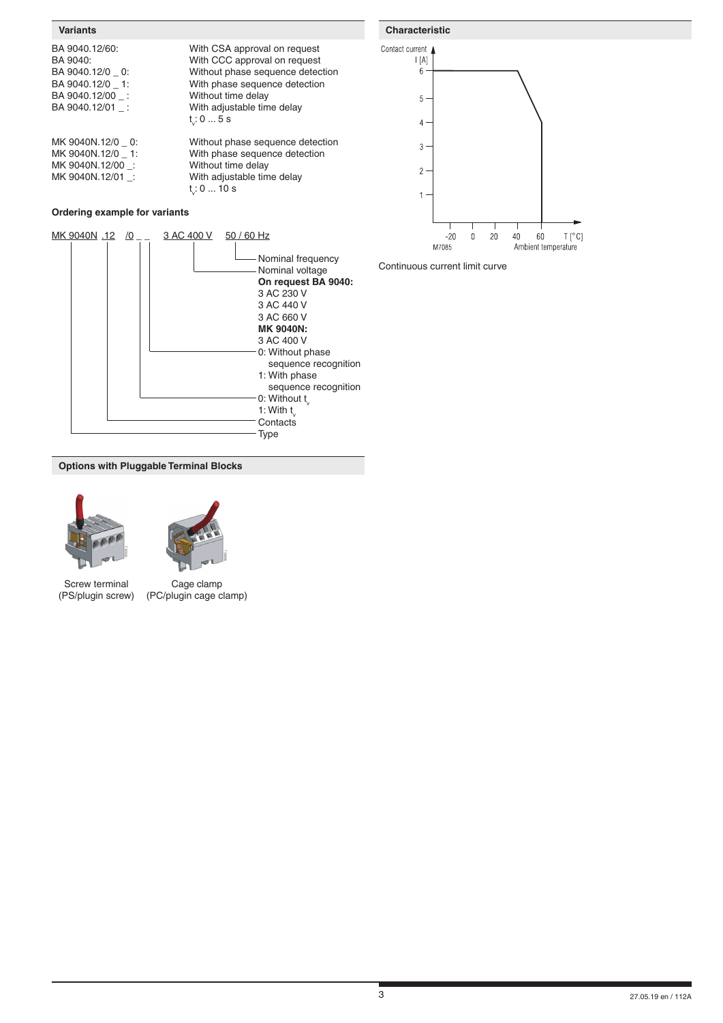| BA 9040.12/60:  |  |
|-----------------|--|
| BA 9040:        |  |
| BA 9040.12/0 0: |  |
| BA 9040.12/0 1: |  |
| BA 9040.12/00 : |  |
| BA 9040.12/01 : |  |
|                 |  |
|                 |  |

MK 9040N.12/00 \_:

With CSA approval on request With CCC approval on request Without phase sequence detection With phase sequence detection Without time delay With adjustable time delay v : 0 ... 5 s

MK 9040N.12/0 \_ 0: Without phase sequence detection<br>MK 9040N.12/0 \_ 1: With phase sequence detection With phase sequence detection<br>Without time delay MK 9040N.12/01 \_: With adjustable time delay the contract of the contract of the contract of the contract of the contract of the contract of the contract o v : 0 ... 10 s

# **Ordering example for variants**



# **Variants Characteristic**





**Options with Pluggable Terminal Blocks**



Screw terminal (PS/plugin screw)

Cage clamp (PC/plugin cage clamp)